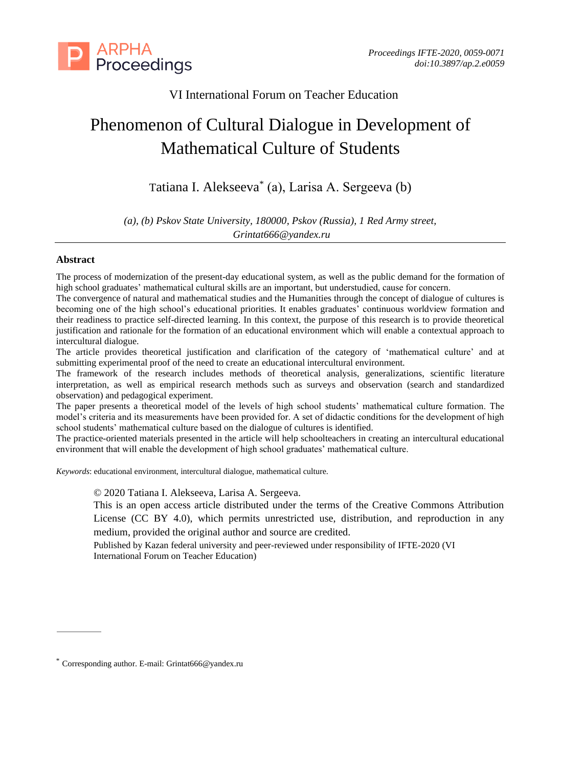

# VI International Forum on Teacher Education

# Phenomenon of Cultural Dialogue in Development of Mathematical Culture of Students

Tatiana I. Alekseeva\* (а), Larisa A. Sergeeva (b)

*(a), (b) Pskov State University, 180000, Pskov (Russia), 1 Red Army street, Grintat666@yandex.ru*

# **Abstract**

The process of modernization of the present-day educational system, as well as the public demand for the formation of high school graduates' mathematical cultural skills are an important, but understudied, cause for concern.

The convergence of natural and mathematical studies and the Humanities through the concept of dialogue of cultures is becoming one of the high school's educational priorities. It enables graduates' continuous worldview formation and their readiness to practice self-directed learning. In this context, the purpose of this research is to provide theoretical justification and rationale for the formation of an educational environment which will enable a contextual approach to intercultural dialogue.

The article provides theoretical justification and clarification of the category of 'mathematical culture' and at submitting experimental proof of the need to create an educational intercultural environment.

The framework of the research includes methods of theoretical analysis, generalizations, scientific literature interpretation, as well as empirical research methods such as surveys and observation (search and standardized observation) and pedagogical experiment.

The paper presents a theoretical model of the levels of high school students' mathematical culture formation. The model's criteria and its measurements have been provided for. A set of didactic conditions for the development of high school students' mathematical culture based on the dialogue of cultures is identified.

The practice-oriented materials presented in the article will help schoolteachers in creating an intercultural educational environment that will enable the development of high school graduates' mathematical culture.

*Keywords*: educational environment, intercultural dialogue, mathematical culture.

© 2020 Tatiana I. Alekseeva, Larisa A. Sergeeva.

This is an open access article distributed under the terms of the Creative Commons Attribution License (CC BY 4.0), which permits unrestricted use, distribution, and reproduction in any medium, provided the original author and source are credited.

Published by Kazan federal university and peer-reviewed under responsibility of IFTE-2020 (VI International Forum on Teacher Education)

<sup>\*</sup> Corresponding author. E-mail: Grintat666@yandex.ru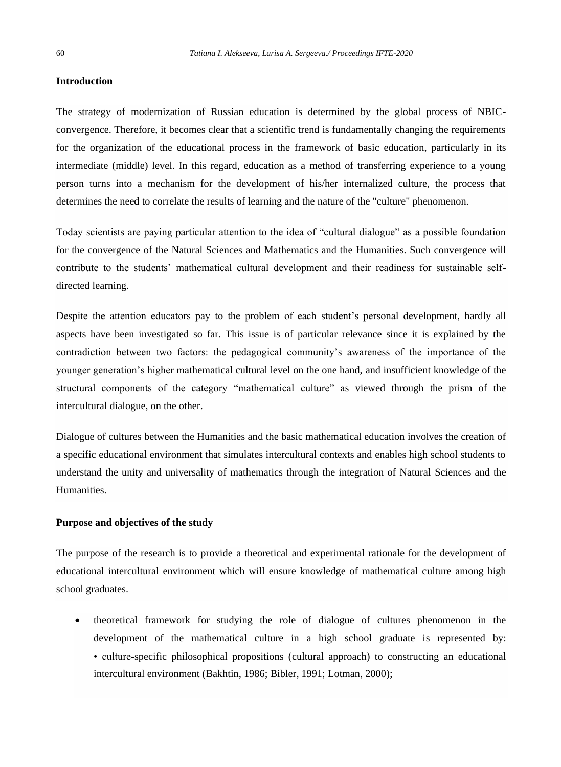#### **Introduction**

The strategy of modernization of Russian education is determined by the global process of NBICconvergence. Therefore, it becomes clear that a scientific trend is fundamentally changing the requirements for the organization of the educational process in the framework of basic education, particularly in its intermediate (middle) level. In this regard, education as a method of transferring experience to a young person turns into a mechanism for the development of his/her internalized culture, the process that determines the need to correlate the results of learning and the nature of the "culture" phenomenon.

Today scientists are paying particular attention to the idea of "cultural dialogue" as a possible foundation for the convergence of the Natural Sciences and Mathematics and the Humanities. Such convergence will contribute to the students' mathematical cultural development and their readiness for sustainable selfdirected learning.

Despite the attention educators pay to the problem of each student's personal development, hardly all aspects have been investigated so far. This issue is of particular relevance since it is explained by the contradiction between two factors: the pedagogical community's awareness of the importance of the younger generation's higher mathematical cultural level on the one hand, and insufficient knowledge of the structural components of the category "mathematical culture" as viewed through the prism of the intercultural dialogue, on the other.

Dialogue of cultures between the Humanities and the basic mathematical education involves the creation of a specific educational environment that simulates intercultural contexts and enables high school students to understand the unity and universality of mathematics through the integration of Natural Sciences and the Humanities.

#### **Purpose and objectives of the study**

The purpose of the research is to provide a theoretical and experimental rationale for the development of educational intercultural environment which will ensure knowledge of mathematical culture among high school graduates.

• theoretical framework for studying the role of dialogue of cultures phenomenon in the development of the mathematical culture in a high school graduate is represented by: • culture-specific philosophical propositions (cultural approach) to constructing an educational intercultural environment (Bakhtin, 1986; Bibler, 1991; Lotman, 2000);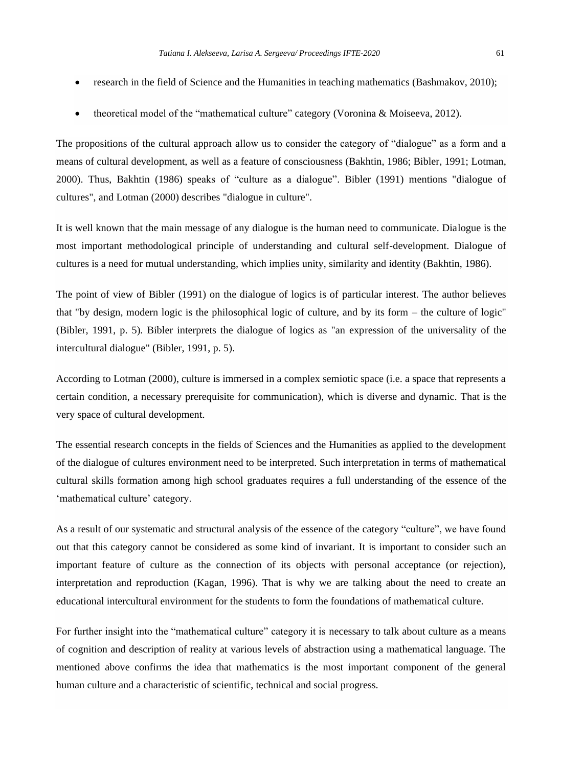- research in the field of Science and the Humanities in teaching mathematics (Bashmakov, 2010);
- theoretical model of the "mathematical culture" category (Voronina & Moiseeva, 2012).

The propositions of the cultural approach allow us to consider the category of "dialogue" as a form and a means of cultural development, as well as a feature of consciousness (Bakhtin, 1986; Bibler, 1991; Lotman, 2000). Thus, Bakhtin (1986) speaks of "culture as a dialogue". Bibler (1991) mentions "dialogue of cultures", and Lotman (2000) describes "dialogue in culture".

It is well known that the main message of any dialogue is the human need to communicate. Dialogue is the most important methodological principle of understanding and cultural self-development. Dialogue of cultures is a need for mutual understanding, which implies unity, similarity and identity (Bakhtin, 1986).

The point of view of Bibler (1991) on the dialogue of logics is of particular interest. The author believes that "by design, modern logic is the philosophical logic of culture, and by its form – the culture of logic" (Bibler, 1991, p. 5). Bibler interprets the dialogue of logics as "an expression of the universality of the intercultural dialogue" (Bibler, 1991, p. 5).

According to Lotman (2000), culture is immersed in a complex semiotic space (i.e. a space that represents a certain condition, a necessary prerequisite for communication), which is diverse and dynamic. That is the very space of cultural development.

The essential research concepts in the fields of Sciences and the Humanities as applied to the development of the dialogue of cultures environment need to be interpreted. Such interpretation in terms of mathematical cultural skills formation among high school graduates requires a full understanding of the essence of the 'mathematical culture' category.

As a result of our systematic and structural analysis of the essence of the category "culture", we have found out that this category cannot be considered as some kind of invariant. It is important to consider such an important feature of culture as the connection of its objects with personal acceptance (or rejection), interpretation and reproduction (Kagan, 1996). That is why we are talking about the need to create an educational intercultural environment for the students to form the foundations of mathematical culture.

For further insight into the "mathematical culture" category it is necessary to talk about culture as a means of cognition and description of reality at various levels of abstraction using a mathematical language. The mentioned above confirms the idea that mathematics is the most important component of the general human culture and a characteristic of scientific, technical and social progress.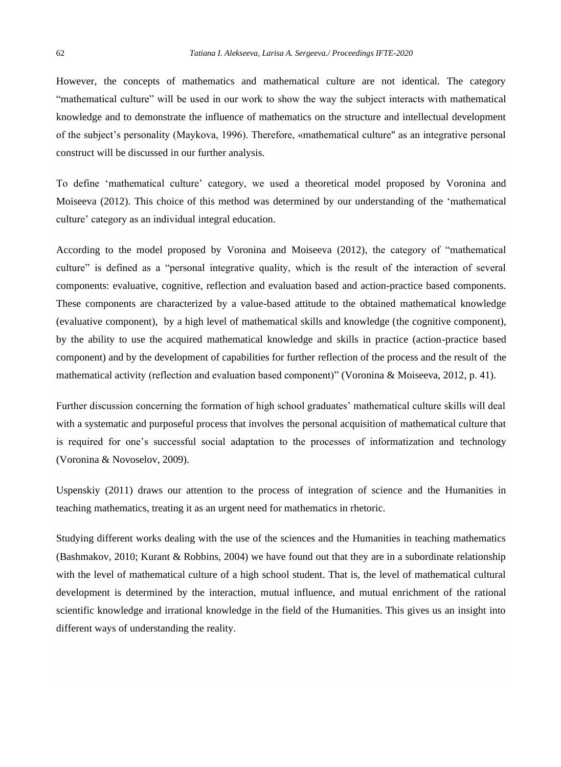However, the concepts of mathematics and mathematical culture are not identical. The category "mathematical culture" will be used in our work to show the way the subject interacts with mathematical knowledge and to demonstrate the influence of mathematics on the structure and intellectual development of the subject's personality (Maykova, 1996). Therefore, «mathematical culture" as an integrative personal construct will be discussed in our further analysis.

To define 'mathematical culture' category, we used a theoretical model proposed by Voronina and Moiseeva (2012). This choice of this method was determined by our understanding of the 'mathematical culture' category as an individual integral education.

According to the model proposed by Voronina and Moiseeva (2012), the category of "mathematical culture" is defined as a "personal integrative quality, which is the result of the interaction of several components: evaluative, cognitive, reflection and evaluation based and action-practice based components. These components are characterized by a value-based attitude to the obtained mathematical knowledge (evaluative component), by a high level of mathematical skills and knowledge (the cognitive component), by the ability to use the acquired mathematical knowledge and skills in practice (action-practice based component) and by the development of capabilities for further reflection of the process and the result of the mathematical activity (reflection and evaluation based component)" (Voronina & Moiseeva, 2012, p. 41).

Further discussion concerning the formation of high school graduates' mathematical culture skills will deal with a systematic and purposeful process that involves the personal acquisition of mathematical culture that is required for one's successful social adaptation to the processes of informatization and technology (Voronina & Novoselov, 2009).

Uspenskiy (2011) draws our attention to the process of integration of science and the Humanities in teaching mathematics, treating it as an urgent need for mathematics in rhetoric.

Studying different works dealing with the use of the sciences and the Humanities in teaching mathematics (Bashmakov, 2010; Kurant & Robbins, 2004) we have found out that they are in a subordinate relationship with the level of mathematical culture of a high school student. That is, the level of mathematical cultural development is determined by the interaction, mutual influence, and mutual enrichment of the rational scientific knowledge and irrational knowledge in the field of the Humanities. This gives us an insight into different ways of understanding the reality.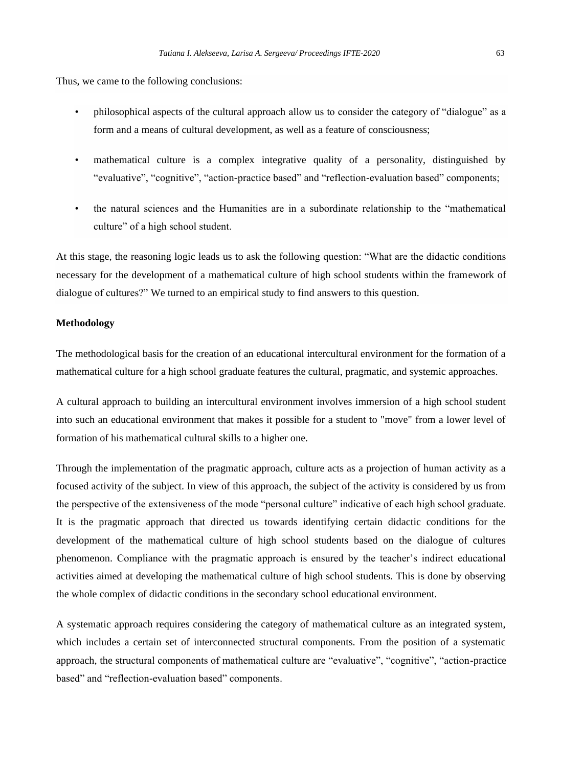Thus, we came to the following conclusions:

- philosophical aspects of the cultural approach allow us to consider the category of "dialogue" as a form and a means of cultural development, as well as a feature of consciousness;
- mathematical culture is a complex integrative quality of a personality, distinguished by "evaluative", "cognitive", "action-practice based" and "reflection-evaluation based" components;
- the natural sciences and the Humanities are in a subordinate relationship to the "mathematical culture" of a high school student.

At this stage, the reasoning logic leads us to ask the following question: "What are the didactic conditions necessary for the development of a mathematical culture of high school students within the framework of dialogue of cultures?" We turned to an empirical study to find answers to this question.

### **Methodology**

The methodological basis for the creation of an educational intercultural environment for the formation of a mathematical culture for a high school graduate features the cultural, pragmatic, and systemic approaches.

A cultural approach to building an intercultural environment involves immersion of a high school student into such an educational environment that makes it possible for a student to "move" from a lower level of formation of his mathematical cultural skills to a higher one.

Through the implementation of the pragmatic approach, culture acts as a projection of human activity as a focused activity of the subject. In view of this approach, the subject of the activity is considered by us from the perspective of the extensiveness of the mode "personal culture" indicative of each high school graduate. It is the pragmatic approach that directed us towards identifying certain didactic conditions for the development of the mathematical culture of high school students based on the dialogue of cultures phenomenon. Compliance with the pragmatic approach is ensured by the teacher's indirect educational activities aimed at developing the mathematical culture of high school students. This is done by observing the whole complex of didactic conditions in the secondary school educational environment.

A systematic approach requires considering the category of mathematical culture as an integrated system, which includes a certain set of interconnected structural components. From the position of a systematic approach, the structural components of mathematical culture are "evaluative", "cognitive", "action-practice based" and "reflection-evaluation based" components.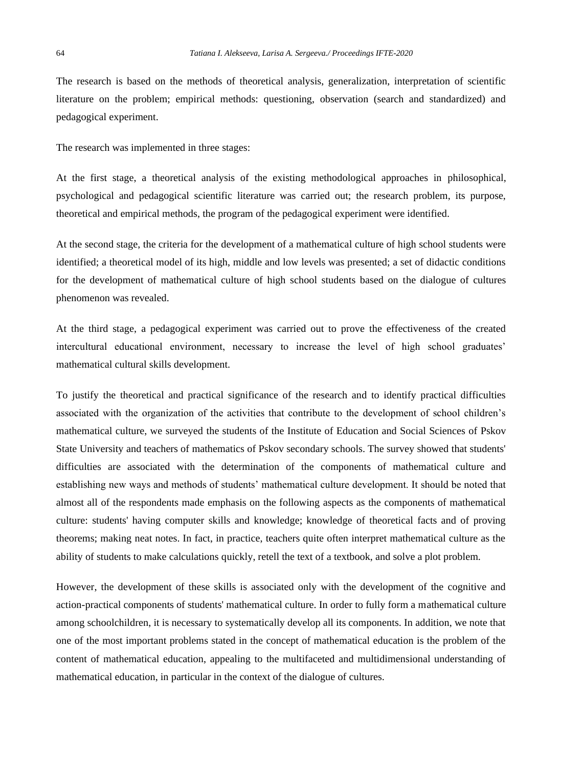The research is based on the methods of theoretical analysis, generalization, interpretation of scientific literature on the problem; empirical methods: questioning, observation (search and standardized) and pedagogical experiment.

The research was implemented in three stages:

At the first stage, a theoretical analysis of the existing methodological approaches in philosophical, psychological and pedagogical scientific literature was carried out; the research problem, its purpose, theoretical and empirical methods, the program of the pedagogical experiment were identified.

At the second stage, the criteria for the development of a mathematical culture of high school students were identified; a theoretical model of its high, middle and low levels was presented; a set of didactic conditions for the development of mathematical culture of high school students based on the dialogue of cultures phenomenon was revealed.

At the third stage, a pedagogical experiment was carried out to prove the effectiveness of the created intercultural educational environment, necessary to increase the level of high school graduates' mathematical cultural skills development.

To justify the theoretical and practical significance of the research and to identify practical difficulties associated with the organization of the activities that contribute to the development of school children's mathematical culture, we surveyed the students of the Institute of Education and Social Sciences of Pskov State University and teachers of mathematics of Pskov secondary schools. The survey showed that students' difficulties are associated with the determination of the components of mathematical culture and establishing new ways and methods of students' mathematical culture development. It should be noted that almost all of the respondents made emphasis on the following aspects as the components of mathematical culture: students' having computer skills and knowledge; knowledge of theoretical facts and of proving theorems; making neat notes. In fact, in practice, teachers quite often interpret mathematical culture as the ability of students to make calculations quickly, retell the text of a textbook, and solve a plot problem.

However, the development of these skills is associated only with the development of the cognitive and action-practical components of students' mathematical culture. In order to fully form a mathematical culture among schoolchildren, it is necessary to systematically develop all its components. In addition, we note that one of the most important problems stated in the concept of mathematical education is the problem of the content of mathematical education, appealing to the multifaceted and multidimensional understanding of mathematical education, in particular in the context of the dialogue of cultures.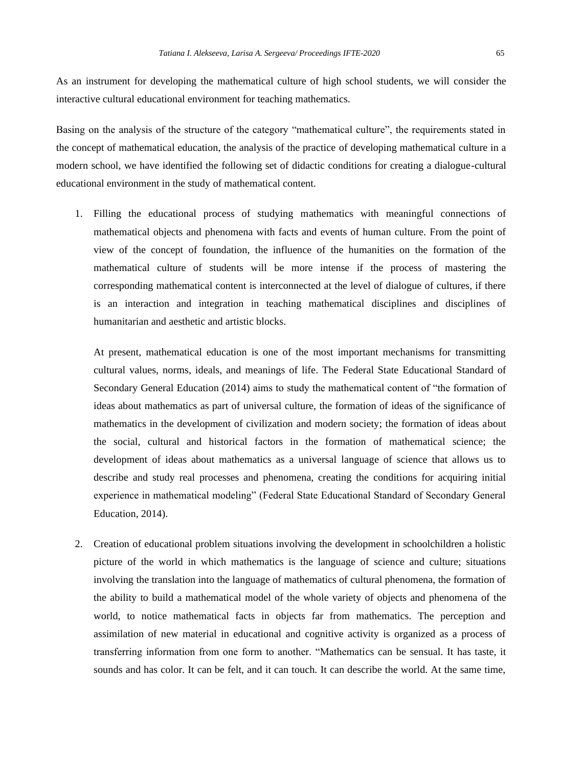As an instrument for developing the mathematical culture of high school students, we will consider the interactive cultural educational environment for teaching mathematics.

Basing on the analysis of the structure of the category "mathematical culture", the requirements stated in the concept of mathematical education, the analysis of the practice of developing mathematical culture in a modern school, we have identified the following set of didactic conditions for creating a dialogue-cultural educational environment in the study of mathematical content.

1. Filling the educational process of studying mathematics with meaningful connections of mathematical objects and phenomena with facts and events of human culture. From the point of view of the concept of foundation, the influence of the humanities on the formation of the mathematical culture of students will be more intense if the process of mastering the corresponding mathematical content is interconnected at the level of dialogue of cultures, if there is an interaction and integration in teaching mathematical disciplines and disciplines of humanitarian and aesthetic and artistic blocks.

At present, mathematical education is one of the most important mechanisms for transmitting cultural values, norms, ideals, and meanings of life. The Federal State Educational Standard of Secondary General Education (2014) aims to study the mathematical content of "the formation of ideas about mathematics as part of universal culture, the formation of ideas of the significance of mathematics in the development of civilization and modern society; the formation of ideas about the social, cultural and historical factors in the formation of mathematical science; the development of ideas about mathematics as a universal language of science that allows us to describe and study real processes and phenomena, creating the conditions for acquiring initial experience in mathematical modeling" (Federal State Educational Standard of Secondary General Education, 2014).

2. Creation of educational problem situations involving the development in schoolchildren a holistic picture of the world in which mathematics is the language of science and culture; situations involving the translation into the language of mathematics of cultural phenomena, the formation of the ability to build a mathematical model of the whole variety of objects and phenomena of the world, to notice mathematical facts in objects far from mathematics. The perception and assimilation of new material in educational and cognitive activity is organized as a process of transferring information from one form to another. "Mathematics can be sensual. It has taste, it sounds and has color. It can be felt, and it can touch. It can describe the world. At the same time,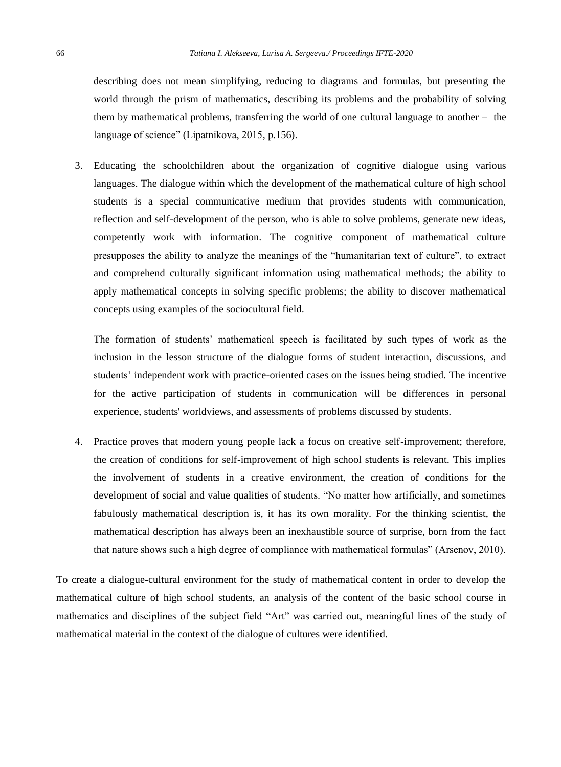describing does not mean simplifying, reducing to diagrams and formulas, but presenting the world through the prism of mathematics, describing its problems and the probability of solving them by mathematical problems, transferring the world of one cultural language to another – the language of science" (Lipatnikova, 2015, p.156).

3. Educating the schoolchildren about the organization of cognitive dialogue using various languages. The dialogue within which the development of the mathematical culture of high school students is a special communicative medium that provides students with communication, reflection and self-development of the person, who is able to solve problems, generate new ideas, competently work with information. The cognitive component of mathematical culture presupposes the ability to analyze the meanings of the "humanitarian text of culture", to extract and comprehend culturally significant information using mathematical methods; the ability to apply mathematical concepts in solving specific problems; the ability to discover mathematical concepts using examples of the sociocultural field.

The formation of students' mathematical speech is facilitated by such types of work as the inclusion in the lesson structure of the dialogue forms of student interaction, discussions, and students' independent work with practice-oriented cases on the issues being studied. The incentive for the active participation of students in communication will be differences in personal experience, students' worldviews, and assessments of problems discussed by students.

4. Practice proves that modern young people lack a focus on creative self-improvement; therefore, the creation of conditions for self-improvement of high school students is relevant. This implies the involvement of students in a creative environment, the creation of conditions for the development of social and value qualities of students. "No matter how artificially, and sometimes fabulously mathematical description is, it has its own morality. For the thinking scientist, the mathematical description has always been an inexhaustible source of surprise, born from the fact that nature shows such a high degree of compliance with mathematical formulas" (Arsenov, 2010).

To create a dialogue-cultural environment for the study of mathematical content in order to develop the mathematical culture of high school students, an analysis of the content of the basic school course in mathematics and disciplines of the subject field "Art" was carried out, meaningful lines of the study of mathematical material in the context of the dialogue of cultures were identified.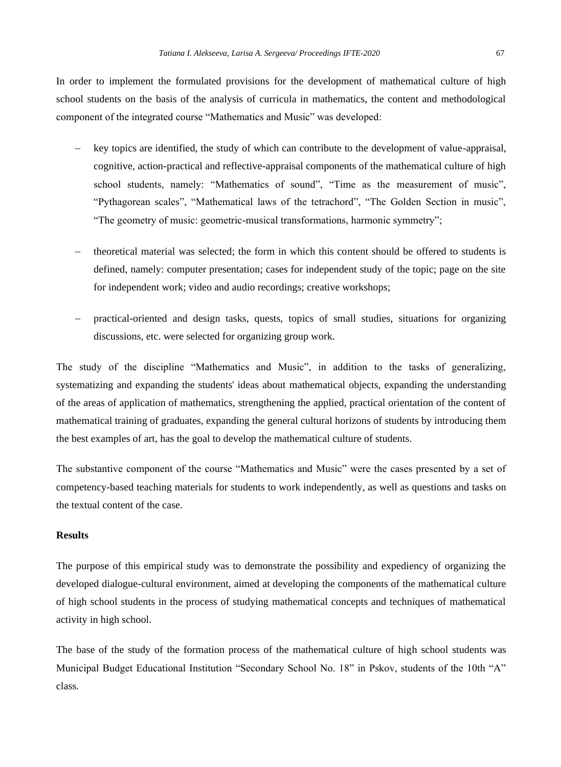In order to implement the formulated provisions for the development of mathematical culture of high school students on the basis of the analysis of curricula in mathematics, the content and methodological component of the integrated course "Mathematics and Music" was developed:

- − key topics are identified, the study of which can contribute to the development of value-appraisal, cognitive, action-practical and reflective-appraisal components of the mathematical culture of high school students, namely: "Mathematics of sound", "Time as the measurement of music", "Pythagorean scales", "Mathematical laws of the tetrachord", "The Golden Section in music", "The geometry of music: geometric-musical transformations, harmonic symmetry";
- theoretical material was selected; the form in which this content should be offered to students is defined, namely: computer presentation; cases for independent study of the topic; page on the site for independent work; video and audio recordings; creative workshops;
- − practical-oriented and design tasks, quests, topics of small studies, situations for organizing discussions, etc. were selected for organizing group work.

The study of the discipline "Mathematics and Music", in addition to the tasks of generalizing, systematizing and expanding the students' ideas about mathematical objects, expanding the understanding of the areas of application of mathematics, strengthening the applied, practical orientation of the content of mathematical training of graduates, expanding the general cultural horizons of students by introducing them the best examples of art, has the goal to develop the mathematical culture of students.

The substantive component of the course "Mathematics and Music" were the cases presented by a set of competency-based teaching materials for students to work independently, as well as questions and tasks on the textual content of the case.

## **Results**

The purpose of this empirical study was to demonstrate the possibility and expediency of organizing the developed dialogue-cultural environment, aimed at developing the components of the mathematical culture of high school students in the process of studying mathematical concepts and techniques of mathematical activity in high school.

The base of the study of the formation process of the mathematical culture of high school students was Municipal Budget Educational Institution "Secondary School No. 18" in Pskov, students of the 10th "A" class.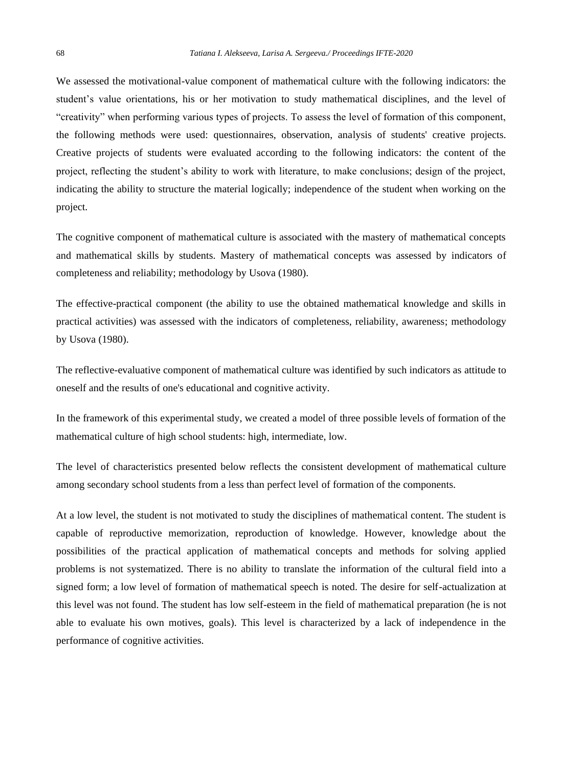We assessed the motivational-value component of mathematical culture with the following indicators: the student's value orientations, his or her motivation to study mathematical disciplines, and the level of "creativity" when performing various types of projects. To assess the level of formation of this component, the following methods were used: questionnaires, observation, analysis of students' creative projects. Creative projects of students were evaluated according to the following indicators: the content of the project, reflecting the student's ability to work with literature, to make conclusions; design of the project, indicating the ability to structure the material logically; independence of the student when working on the project.

The cognitive component of mathematical culture is associated with the mastery of mathematical concepts and mathematical skills by students. Mastery of mathematical concepts was assessed by indicators of completeness and reliability; methodology by Usova (1980).

The effective-practical component (the ability to use the obtained mathematical knowledge and skills in practical activities) was assessed with the indicators of completeness, reliability, awareness; methodology by Usova (1980).

The reflective-evaluative component of mathematical culture was identified by such indicators as attitude to oneself and the results of one's educational and cognitive activity.

In the framework of this experimental study, we created a model of three possible levels of formation of the mathematical culture of high school students: high, intermediate, low.

The level of characteristics presented below reflects the consistent development of mathematical culture among secondary school students from a less than perfect level of formation of the components.

At a low level, the student is not motivated to study the disciplines of mathematical content. The student is capable of reproductive memorization, reproduction of knowledge. However, knowledge about the possibilities of the practical application of mathematical concepts and methods for solving applied problems is not systematized. There is no ability to translate the information of the cultural field into a signed form; a low level of formation of mathematical speech is noted. The desire for self-actualization at this level was not found. The student has low self-esteem in the field of mathematical preparation (he is not able to evaluate his own motives, goals). This level is characterized by a lack of independence in the performance of cognitive activities.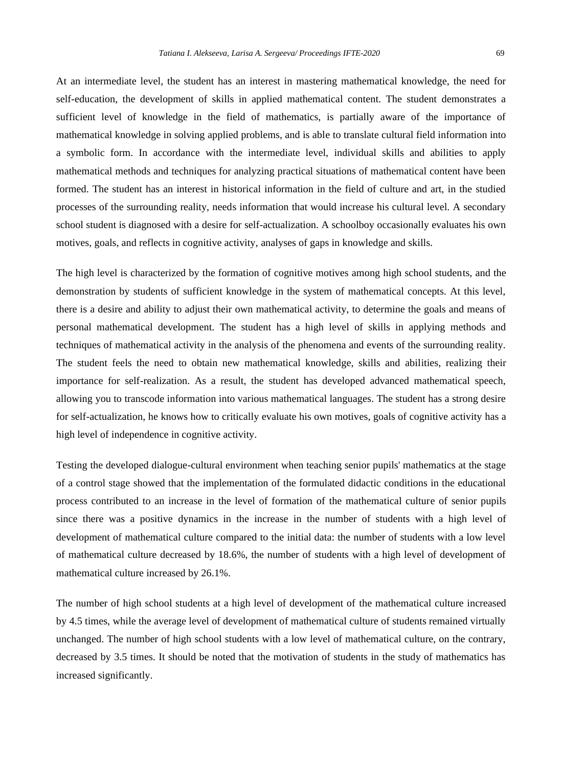At an intermediate level, the student has an interest in mastering mathematical knowledge, the need for self-education, the development of skills in applied mathematical content. The student demonstrates a sufficient level of knowledge in the field of mathematics, is partially aware of the importance of mathematical knowledge in solving applied problems, and is able to translate cultural field information into a symbolic form. In accordance with the intermediate level, individual skills and abilities to apply mathematical methods and techniques for analyzing practical situations of mathematical content have been formed. The student has an interest in historical information in the field of culture and art, in the studied processes of the surrounding reality, needs information that would increase his cultural level. A secondary school student is diagnosed with a desire for self-actualization. A schoolboy occasionally evaluates his own motives, goals, and reflects in cognitive activity, analyses of gaps in knowledge and skills.

The high level is characterized by the formation of cognitive motives among high school students, and the demonstration by students of sufficient knowledge in the system of mathematical concepts. At this level, there is a desire and ability to adjust their own mathematical activity, to determine the goals and means of personal mathematical development. The student has a high level of skills in applying methods and techniques of mathematical activity in the analysis of the phenomena and events of the surrounding reality. The student feels the need to obtain new mathematical knowledge, skills and abilities, realizing their importance for self-realization. As a result, the student has developed advanced mathematical speech, allowing you to transcode information into various mathematical languages. The student has a strong desire for self-actualization, he knows how to critically evaluate his own motives, goals of cognitive activity has a high level of independence in cognitive activity.

Testing the developed dialogue-cultural environment when teaching senior pupils' mathematics at the stage of a control stage showed that the implementation of the formulated didactic conditions in the educational process contributed to an increase in the level of formation of the mathematical culture of senior pupils since there was a positive dynamics in the increase in the number of students with a high level of development of mathematical culture compared to the initial data: the number of students with a low level of mathematical culture decreased by 18.6%, the number of students with a high level of development of mathematical culture increased by 26.1%.

The number of high school students at a high level of development of the mathematical culture increased by 4.5 times, while the average level of development of mathematical culture of students remained virtually unchanged. The number of high school students with a low level of mathematical culture, on the contrary, decreased by 3.5 times. It should be noted that the motivation of students in the study of mathematics has increased significantly.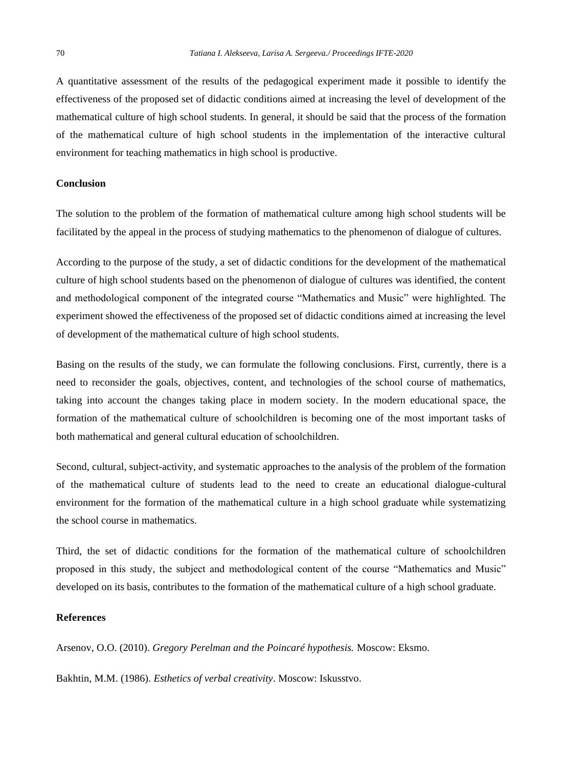A quantitative assessment of the results of the pedagogical experiment made it possible to identify the effectiveness of the proposed set of didactic conditions aimed at increasing the level of development of the mathematical culture of high school students. In general, it should be said that the process of the formation of the mathematical culture of high school students in the implementation of the interactive cultural environment for teaching mathematics in high school is productive.

#### **Conclusion**

The solution to the problem of the formation of mathematical culture among high school students will be facilitated by the appeal in the process of studying mathematics to the phenomenon of dialogue of cultures.

According to the purpose of the study, a set of didactic conditions for the development of the mathematical culture of high school students based on the phenomenon of dialogue of cultures was identified, the content and methodological component of the integrated course "Mathematics and Music" were highlighted. The experiment showed the effectiveness of the proposed set of didactic conditions aimed at increasing the level of development of the mathematical culture of high school students.

Basing on the results of the study, we can formulate the following conclusions. First, currently, there is a need to reconsider the goals, objectives, content, and technologies of the school course of mathematics, taking into account the changes taking place in modern society. In the modern educational space, the formation of the mathematical culture of schoolchildren is becoming one of the most important tasks of both mathematical and general cultural education of schoolchildren.

Second, cultural, subject-activity, and systematic approaches to the analysis of the problem of the formation of the mathematical culture of students lead to the need to create an educational dialogue-cultural environment for the formation of the mathematical culture in a high school graduate while systematizing the school course in mathematics.

Third, the set of didactic conditions for the formation of the mathematical culture of schoolchildren proposed in this study, the subject and methodological content of the course "Mathematics and Music" developed on its basis, contributes to the formation of the mathematical culture of a high school graduate.

# **References**

Arsenov, O.O. (2010). *Gregory Perelman and the Poincaré hypothesis.* Moscow: Eksmo.

Bakhtin, M.M. (1986). *Esthetics of verbal creativity*. Moscow: Iskusstvo.